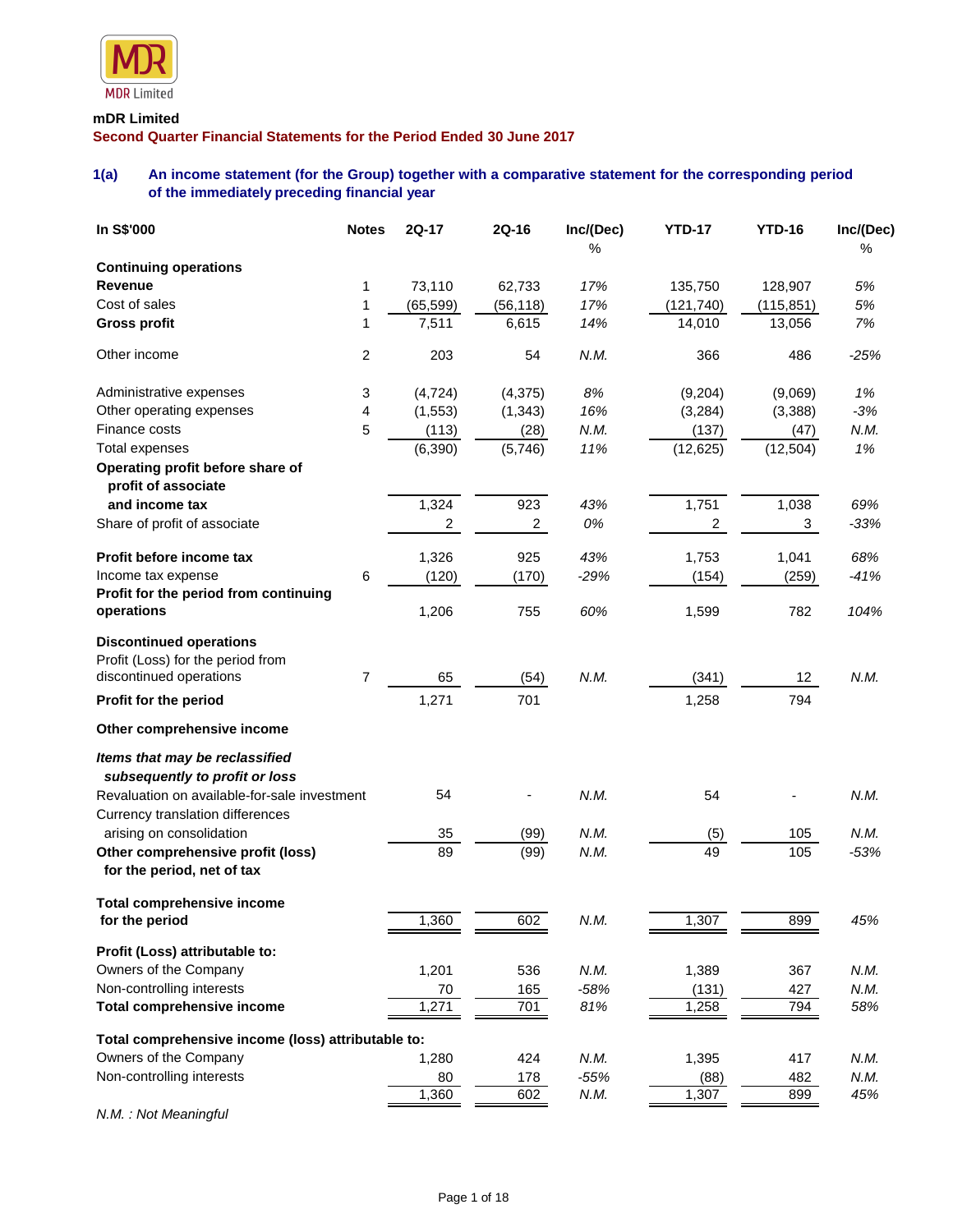

# **mDR Limited Second Quarter Financial Statements for the Period Ended 30 June 2017**

# **1(a) An income statement (for the Group) together with a comparative statement for the corresponding period of the immediately preceding financial year**

| In S\$'000                                                                                     | <b>Notes</b>            | 2Q-17     | 2Q-16          | Inc/(Dec)<br>% | <b>YTD-17</b> | <b>YTD-16</b>     | Inc/(Dec)<br>% |
|------------------------------------------------------------------------------------------------|-------------------------|-----------|----------------|----------------|---------------|-------------------|----------------|
| <b>Continuing operations</b>                                                                   |                         |           |                |                |               |                   |                |
| Revenue                                                                                        | 1                       | 73,110    | 62,733         | 17%            | 135,750       | 128,907           | 5%             |
| Cost of sales                                                                                  | 1                       | (65, 599) | (56, 118)      | 17%            | (121, 740)    | (115, 851)        | 5%             |
| <b>Gross profit</b>                                                                            | 1                       | 7,511     | 6,615          | 14%            | 14,010        | 13,056            | 7%             |
| Other income                                                                                   | $\overline{\mathbf{c}}$ | 203       | 54             | N.M.           | 366           | 486               | $-25%$         |
| Administrative expenses                                                                        | 3                       | (4, 724)  | (4, 375)       | 8%             | (9,204)       | (9,069)           | 1%             |
| Other operating expenses                                                                       | 4                       | (1, 553)  | (1, 343)       | 16%            | (3, 284)      | (3,388)           | $-3%$          |
| Finance costs                                                                                  | 5                       | (113)     | (28)           | N.M.           | (137)         | (47)              | N.M.           |
| <b>Total expenses</b>                                                                          |                         | (6, 390)  | (5,746)        | 11%            | (12, 625)     | (12, 504)         | 1%             |
| Operating profit before share of<br>profit of associate                                        |                         |           |                |                |               |                   |                |
| and income tax                                                                                 |                         | 1,324     | 923            | 43%            | 1,751         | 1,038             | 69%            |
| Share of profit of associate                                                                   |                         | 2         | $\overline{2}$ | 0%             | 2             | 3                 | $-33%$         |
| Profit before income tax                                                                       |                         | 1,326     | 925            | 43%            | 1,753         | 1,041             | 68%            |
| Income tax expense                                                                             | 6                       | (120)     | (170)          | $-29%$         | (154)         | (259)             | $-41%$         |
| Profit for the period from continuing<br>operations                                            |                         | 1,206     | 755            | 60%            | 1,599         | 782               | 104%           |
| <b>Discontinued operations</b><br>Profit (Loss) for the period from<br>discontinued operations | $\overline{7}$          | 65        | (54)           | N.M.           | (341)         | $12 \overline{ }$ | N.M.           |
| Profit for the period                                                                          |                         | 1,271     | 701            |                | 1,258         | 794               |                |
| Other comprehensive income                                                                     |                         |           |                |                |               |                   |                |
| Items that may be reclassified<br>subsequently to profit or loss                               |                         |           |                |                |               |                   |                |
| Revaluation on available-for-sale investment<br>Currency translation differences               |                         | 54        |                | N.M.           | 54            |                   | N.M.           |
| arising on consolidation                                                                       |                         | 35        | (99)           | N.M.           | (5)           | 105               | N.M.           |
| Other comprehensive profit (loss)<br>for the period, net of tax                                |                         | 89        | (99)           | N.M.           | 49            | 105               | $-53%$         |
| <b>Total comprehensive income</b>                                                              |                         |           |                |                |               |                   |                |
| for the period                                                                                 |                         | 1,360     | 602            | N.M.           | 1,307         | 899               | 45%            |
| Profit (Loss) attributable to:                                                                 |                         |           |                |                |               |                   |                |
| Owners of the Company                                                                          |                         | 1,201     | 536            | N.M.           | 1,389         | 367               | N.M.           |
| Non-controlling interests                                                                      |                         | 70        | 165            | $-58%$         | (131)         | 427               | N.M.           |
| <b>Total comprehensive income</b>                                                              |                         | 1,271     | 701            | 81%            | 1,258         | 794               | 58%            |
| Total comprehensive income (loss) attributable to:                                             |                         |           |                |                |               |                   |                |
| Owners of the Company                                                                          |                         | 1,280     | 424            | N.M.           | 1,395         | 417               | N.M.           |
| Non-controlling interests                                                                      |                         | 80        | 178            | $-55%$         | (88)          | 482               | N.M.           |
|                                                                                                |                         | 1,360     | 602            | N.M.           | 1,307         | 899               | 45%            |

*N.M. : Not Meaningful*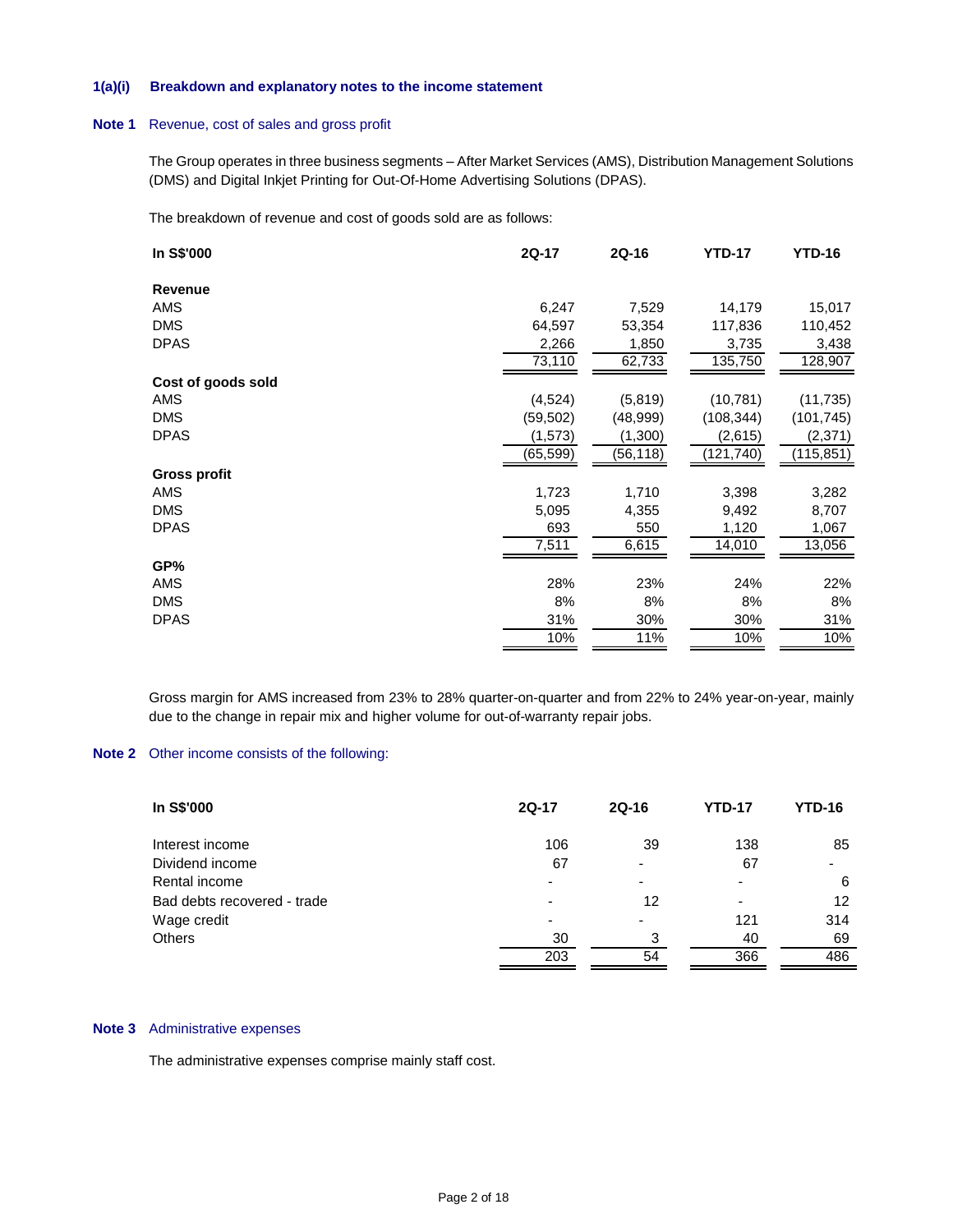#### **1(a)(i) Breakdown and explanatory notes to the income statement**

### **Note 1** Revenue, cost of sales and gross profit

The Group operates in three business segments – After Market Services (AMS), Distribution Management Solutions (DMS) and Digital Inkjet Printing for Out-Of-Home Advertising Solutions (DPAS).

The breakdown of revenue and cost of goods sold are as follows:

| In S\$'000          | 2Q-17     | 2Q-16     | <b>YTD-17</b> | <b>YTD-16</b> |
|---------------------|-----------|-----------|---------------|---------------|
| Revenue             |           |           |               |               |
| AMS                 | 6,247     | 7,529     | 14,179        | 15,017        |
| <b>DMS</b>          | 64,597    | 53,354    | 117,836       | 110,452       |
| <b>DPAS</b>         | 2,266     | 1,850     | 3,735         | 3,438         |
|                     | 73,110    | 62,733    | 135,750       | 128,907       |
| Cost of goods sold  |           |           |               |               |
| AMS                 | (4, 524)  | (5,819)   | (10, 781)     | (11, 735)     |
| <b>DMS</b>          | (59,502)  | (48,999)  | (108, 344)    | (101, 745)    |
| <b>DPAS</b>         | (1, 573)  | (1,300)   | (2,615)       | (2, 371)      |
|                     | (65, 599) | (56, 118) | (121, 740)    | (115, 851)    |
| <b>Gross profit</b> |           |           |               |               |
| AMS                 | 1,723     | 1,710     | 3,398         | 3,282         |
| <b>DMS</b>          | 5,095     | 4,355     | 9,492         | 8,707         |
| <b>DPAS</b>         | 693       | 550       | 1,120         | 1,067         |
|                     | 7,511     | 6,615     | 14,010        | 13,056        |
| GP%                 |           |           |               |               |
| AMS                 | 28%       | 23%       | 24%           | 22%           |
| <b>DMS</b>          | 8%        | 8%        | 8%            | 8%            |
| <b>DPAS</b>         | 31%       | 30%       | 30%           | 31%           |
|                     | 10%       | 11%       | 10%           | 10%           |

Gross margin for AMS increased from 23% to 28% quarter-on-quarter and from 22% to 24% year-on-year, mainly due to the change in repair mix and higher volume for out-of-warranty repair jobs.

### **Note 2** Other income consists of the following:

| In S\$'000                  | <b>2Q-17</b>   | $2Q-16$ | <b>YTD-17</b>            | YTD-16 |
|-----------------------------|----------------|---------|--------------------------|--------|
| Interest income             | 106            | 39      | 138                      | 85     |
| Dividend income             | 67             |         | 67                       |        |
| Rental income               | $\blacksquare$ |         | $\overline{\phantom{0}}$ | 6      |
| Bad debts recovered - trade | ٠              | 12      | $\overline{\phantom{a}}$ | 12     |
| Wage credit                 | -              |         | 121                      | 314    |
| Others                      | 30             | 3       | 40                       | 69     |
|                             | 203            | 54      | 366                      | 486    |

### **Note 3** Administrative expenses

The administrative expenses comprise mainly staff cost.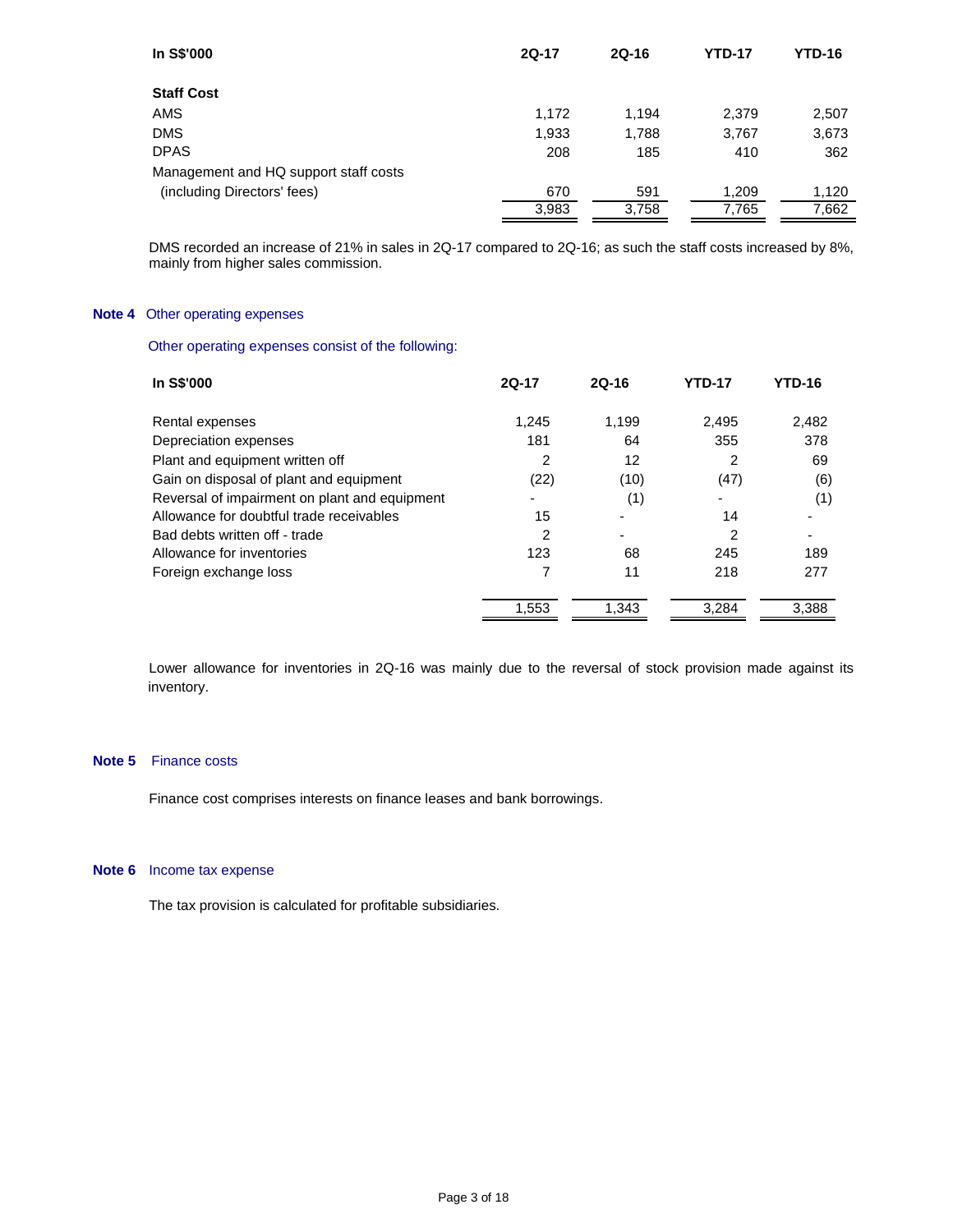| In S\$'000                            | $2Q-17$ | $2Q-16$ | <b>YTD-17</b> | <b>YTD-16</b> |
|---------------------------------------|---------|---------|---------------|---------------|
| <b>Staff Cost</b>                     |         |         |               |               |
| AMS                                   | 1,172   | 1,194   | 2,379         | 2,507         |
| <b>DMS</b>                            | 1,933   | 1,788   | 3,767         | 3,673         |
| <b>DPAS</b>                           | 208     | 185     | 410           | 362           |
| Management and HQ support staff costs |         |         |               |               |
| (including Directors' fees)           | 670     | 591     | 1,209         | 1,120         |
|                                       | 3,983   | 3,758   | 7,765         | 7,662         |

DMS recorded an increase of 21% in sales in 2Q-17 compared to 2Q-16; as such the staff costs increased by 8%, mainly from higher sales commission.

# **Note 4** Other operating expenses

Other operating expenses consist of the following:

| In S\$'000                                    | $2Q-17$ | $2Q-16$ | <b>YTD-17</b> | <b>YTD-16</b> |
|-----------------------------------------------|---------|---------|---------------|---------------|
| Rental expenses                               | 1.245   | 1.199   | 2.495         | 2,482         |
| Depreciation expenses                         | 181     | 64      | 355           | 378           |
| Plant and equipment written off               | 2       | 12      | 2             | 69            |
| Gain on disposal of plant and equipment       | (22)    | (10)    | (47)          | (6)           |
| Reversal of impairment on plant and equipment |         | (1)     | -             | (1)           |
| Allowance for doubtful trade receivables      | 15      |         | 14            |               |
| Bad debts written off - trade                 | 2       |         | 2             |               |
| Allowance for inventories                     | 123     | 68      | 245           | 189           |
| Foreign exchange loss                         |         | 11      | 218           | 277           |
|                                               | 1,553   | 1.343   | 3.284         | 3.388         |

Lower allowance for inventories in 2Q-16 was mainly due to the reversal of stock provision made against its inventory.

# **Note 5** Finance costs

Finance cost comprises interests on finance leases and bank borrowings.

#### **Note 6** Income tax expense

The tax provision is calculated for profitable subsidiaries.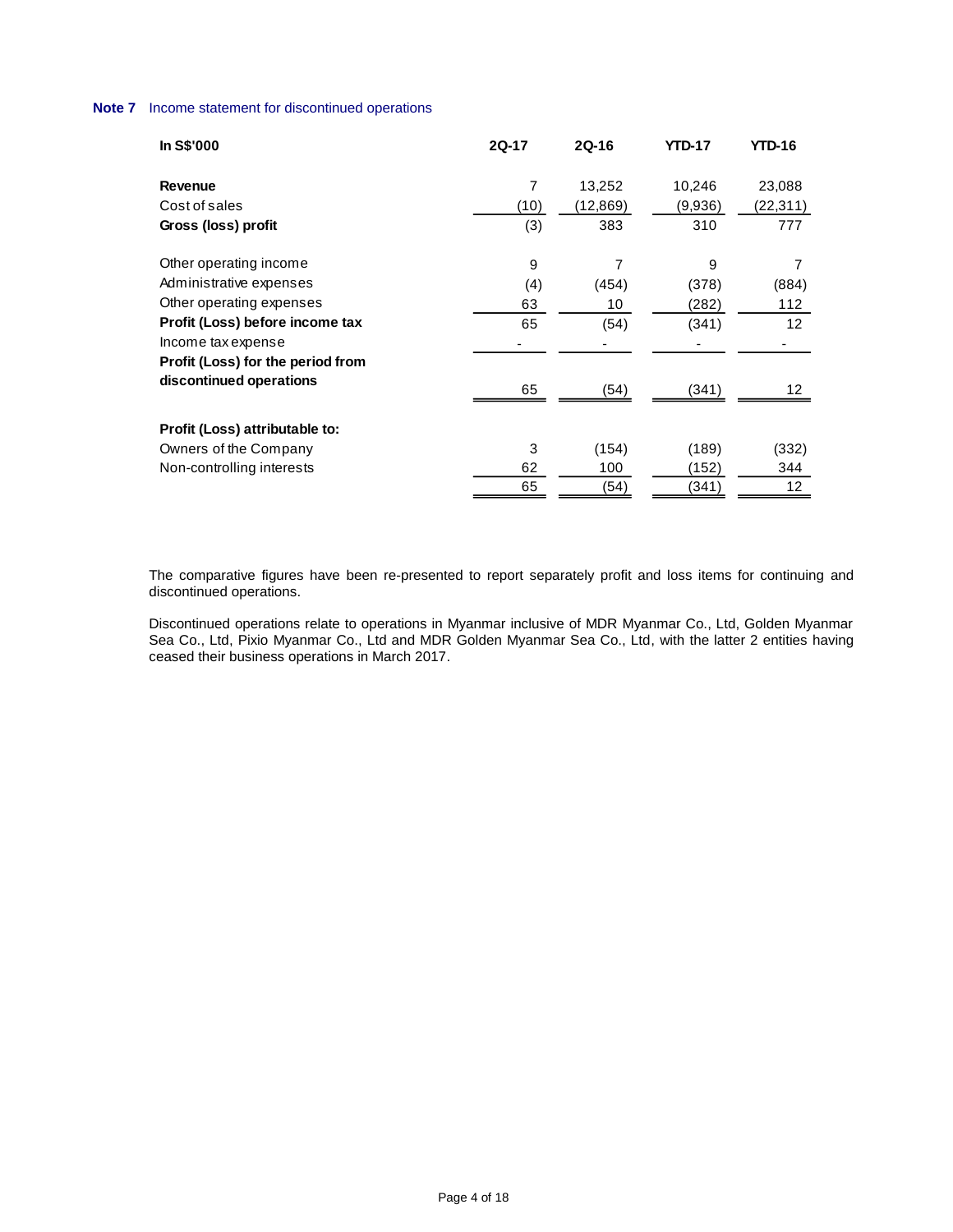# **Note 7** Income statement for discontinued operations

| In S\$'000                        | 2Q-17          | <b>2Q-16</b> | <b>YTD-17</b> | <b>YTD-16</b>     |
|-----------------------------------|----------------|--------------|---------------|-------------------|
| Revenue                           | $\overline{7}$ | 13,252       | 10,246        | 23,088            |
| Cost of sales                     | (10)           | (12,869)     | (9,936)       | (22,311)          |
| Gross (loss) profit               | (3)            | 383          | 310           | 777               |
| Other operating income            | 9              | 7            | 9             |                   |
| Administrative expenses           | (4)            | (454)        | (378)         | (884)             |
| Other operating expenses          | 63             | 10           | (282)         | 112               |
| Profit (Loss) before income tax   | 65             | (54)         | (341)         | 12 <sup>2</sup>   |
| Income tax expense                |                |              |               |                   |
| Profit (Loss) for the period from |                |              |               |                   |
| discontinued operations           | 65             | (54)         | (341)         | 12                |
| Profit (Loss) attributable to:    |                |              |               |                   |
| Owners of the Company             | 3              | (154)        | (189)         | (332)             |
| Non-controlling interests         | 62             | 100          | (152)         | 344               |
|                                   | 65             | (54)         | (341)         | $12 \overline{ }$ |

The comparative figures have been re-presented to report separately profit and loss items for continuing and discontinued operations.

Discontinued operations relate to operations in Myanmar inclusive of MDR Myanmar Co., Ltd, Golden Myanmar Sea Co., Ltd, Pixio Myanmar Co., Ltd and MDR Golden Myanmar Sea Co., Ltd, with the latter 2 entities having ceased their business operations in March 2017.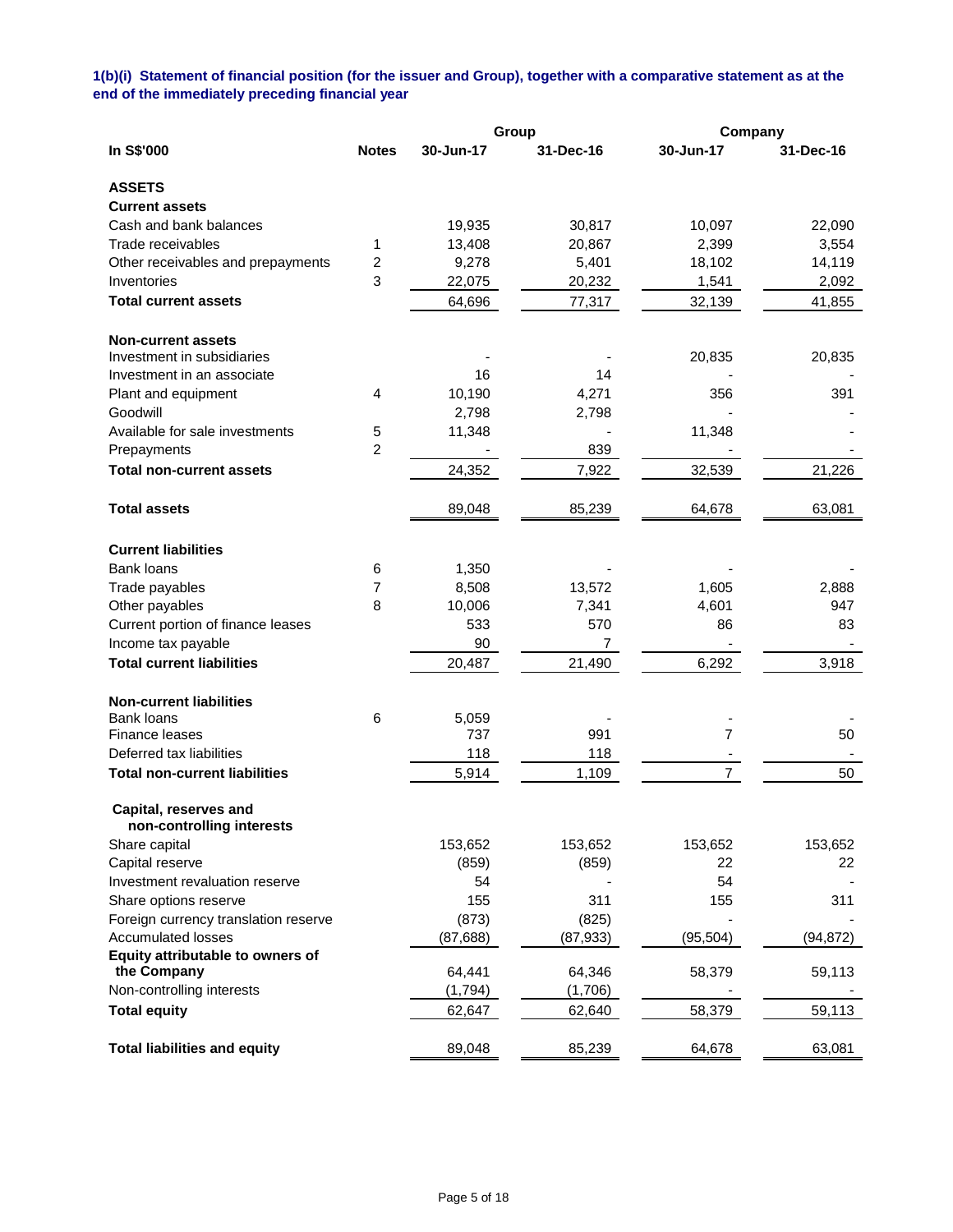# **1(b)(i) Statement of financial position (for the issuer and Group), together with a comparative statement as at the end of the immediately preceding financial year**

|                                      |                |           | Group     |                | Company   |  |
|--------------------------------------|----------------|-----------|-----------|----------------|-----------|--|
| In S\$'000                           | <b>Notes</b>   | 30-Jun-17 | 31-Dec-16 | 30-Jun-17      | 31-Dec-16 |  |
| <b>ASSETS</b>                        |                |           |           |                |           |  |
| <b>Current assets</b>                |                |           |           |                |           |  |
| Cash and bank balances               |                | 19,935    | 30,817    | 10,097         | 22,090    |  |
| Trade receivables                    | 1              | 13,408    | 20,867    | 2,399          | 3,554     |  |
| Other receivables and prepayments    | $\overline{c}$ | 9,278     | 5,401     | 18,102         | 14,119    |  |
| Inventories                          | 3              | 22,075    | 20,232    | 1,541          | 2,092     |  |
| <b>Total current assets</b>          |                | 64,696    | 77,317    | 32,139         | 41,855    |  |
| <b>Non-current assets</b>            |                |           |           |                |           |  |
| Investment in subsidiaries           |                |           |           | 20,835         | 20,835    |  |
| Investment in an associate           |                | 16        | 14        |                |           |  |
| Plant and equipment                  | 4              | 10,190    | 4,271     | 356            | 391       |  |
| Goodwill                             |                | 2,798     | 2,798     |                |           |  |
| Available for sale investments       | 5              | 11,348    |           | 11,348         |           |  |
| Prepayments                          | $\overline{2}$ |           | 839       |                |           |  |
| <b>Total non-current assets</b>      |                | 24,352    | 7,922     | 32,539         | 21,226    |  |
| <b>Total assets</b>                  |                | 89,048    | 85,239    | 64,678         | 63,081    |  |
| <b>Current liabilities</b>           |                |           |           |                |           |  |
| <b>Bank loans</b>                    | 6              | 1,350     |           |                |           |  |
| Trade payables                       | 7              | 8,508     | 13,572    | 1,605          | 2,888     |  |
| Other payables                       | 8              | 10,006    | 7,341     | 4,601          | 947       |  |
| Current portion of finance leases    |                | 533       | 570       | 86             | 83        |  |
| Income tax payable                   |                | 90        | 7         |                |           |  |
| <b>Total current liabilities</b>     |                | 20,487    | 21,490    | 6,292          | 3,918     |  |
|                                      |                |           |           |                |           |  |
| <b>Non-current liabilities</b>       |                |           |           |                |           |  |
| <b>Bank loans</b>                    | 6              | 5,059     |           |                |           |  |
| Finance leases                       |                | 737       | 991       | 7              | 50        |  |
| Deferred tax liabilities             |                | 118       | 118       |                |           |  |
| <b>Total non-current liabilities</b> |                | 5,914     | 1,109     | $\overline{7}$ | 50        |  |
| Capital, reserves and                |                |           |           |                |           |  |
| non-controlling interests            |                |           |           |                |           |  |
| Share capital                        |                | 153,652   | 153,652   | 153,652        | 153,652   |  |
| Capital reserve                      |                | (859)     | (859)     | 22             | 22        |  |
| Investment revaluation reserve       |                | 54        |           | 54             |           |  |
| Share options reserve                |                | 155       | 311       | 155            | 311       |  |
| Foreign currency translation reserve |                | (873)     | (825)     |                |           |  |
| <b>Accumulated losses</b>            |                | (87, 688) | (87, 933) | (95, 504)      | (94, 872) |  |
| Equity attributable to owners of     |                |           |           |                |           |  |
| the Company                          |                | 64,441    | 64,346    | 58,379         | 59,113    |  |
| Non-controlling interests            |                | (1,794)   | (1,706)   |                |           |  |
| <b>Total equity</b>                  |                | 62,647    | 62,640    | 58,379         | 59,113    |  |
| <b>Total liabilities and equity</b>  |                | 89,048    | 85,239    | 64,678         | 63,081    |  |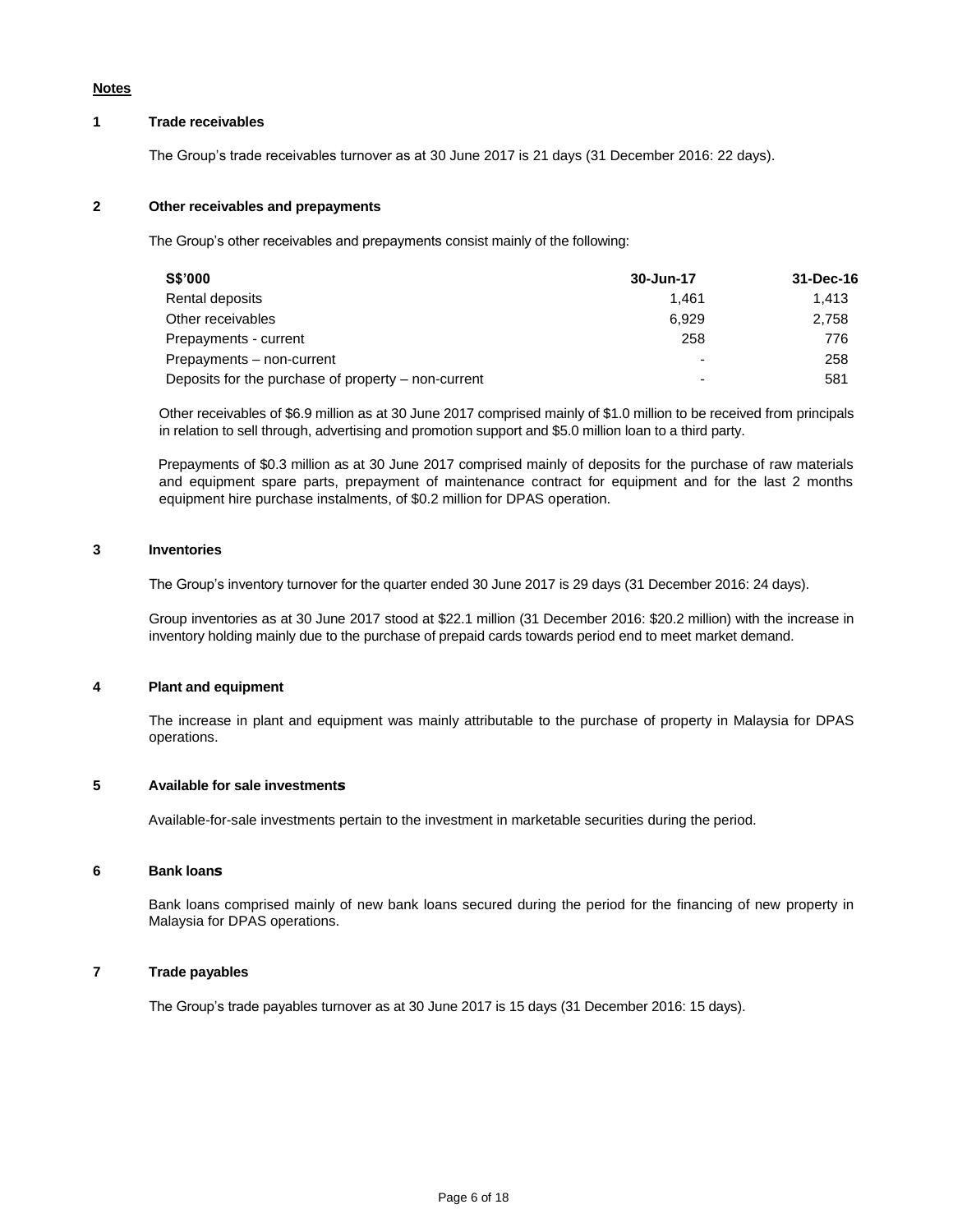#### **Notes**

# **1 Trade receivables**

The Group's trade receivables turnover as at 30 June 2017 is 21 days (31 December 2016: 22 days).

# **2 Other receivables and prepayments**

The Group's other receivables and prepayments consist mainly of the following:

| <b>S\$'000</b>                                      | 30-Jun-17 | 31-Dec-16 |
|-----------------------------------------------------|-----------|-----------|
| Rental deposits                                     | 1.461     | 1.413     |
| Other receivables                                   | 6.929     | 2.758     |
| Prepayments - current                               | 258       | 776       |
| Prepayments - non-current                           |           | 258       |
| Deposits for the purchase of property – non-current |           | 581       |

Other receivables of \$6.9 million as at 30 June 2017 comprised mainly of \$1.0 million to be received from principals in relation to sell through, advertising and promotion support and \$5.0 million loan to a third party.

Prepayments of \$0.3 million as at 30 June 2017 comprised mainly of deposits for the purchase of raw materials and equipment spare parts, prepayment of maintenance contract for equipment and for the last 2 months equipment hire purchase instalments, of \$0.2 million for DPAS operation.

### **3 Inventories**

The Group's inventory turnover for the quarter ended 30 June 2017 is 29 days (31 December 2016: 24 days).

Group inventories as at 30 June 2017 stood at \$22.1 million (31 December 2016: \$20.2 million) with the increase in inventory holding mainly due to the purchase of prepaid cards towards period end to meet market demand.

### **4 Plant and equipment**

The increase in plant and equipment was mainly attributable to the purchase of property in Malaysia for DPAS operations.

### **5 Available for sale investments**

Available-for-sale investments pertain to the investment in marketable securities during the period.

### **6 Bank loans**

Bank loans comprised mainly of new bank loans secured during the period for the financing of new property in Malaysia for DPAS operations.

# **7 Trade payables**

The Group's trade payables turnover as at 30 June 2017 is 15 days (31 December 2016: 15 days).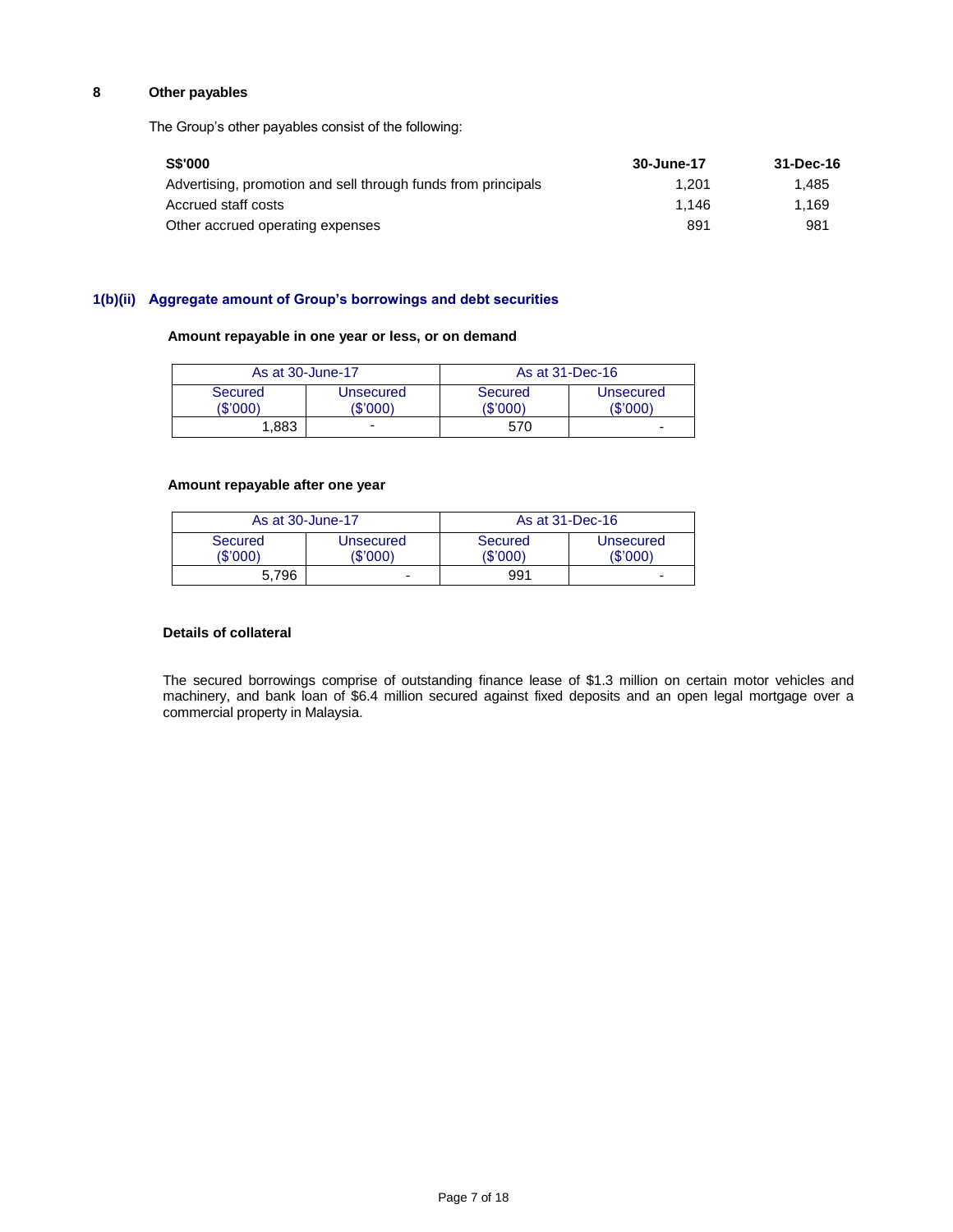# **8 Other payables**

The Group's other payables consist of the following:

| <b>S\$'000</b>                                                | 30-June-17 | 31-Dec-16 |
|---------------------------------------------------------------|------------|-----------|
| Advertising, promotion and sell through funds from principals | 1.201      | 1.485     |
| Accrued staff costs                                           | 1.146      | 1.169     |
| Other accrued operating expenses                              | 891        | 981       |

# **1(b)(ii) Aggregate amount of Group's borrowings and debt securities**

# **Amount repayable in one year or less, or on demand**

| As at 30-June-17    |                       | As at 31-Dec-16     |                       |  |
|---------------------|-----------------------|---------------------|-----------------------|--|
| Secured<br>(\$'000) | Unsecured<br>(\$'000) | Secured<br>(\$'000) | Unsecured<br>(\$'000) |  |
| 1.883               | -                     | 570                 | -                     |  |

### **Amount repayable after one year**

| As at 30-June-17                                    |   |                     | As at 31-Dec-16          |
|-----------------------------------------------------|---|---------------------|--------------------------|
| <b>Secured</b><br>Unsecured<br>(\$'000)<br>(\$'000) |   | Secured<br>(\$'000) | Unsecured<br>'\$'000     |
| 5.796                                               | - | 991                 | $\overline{\phantom{0}}$ |

# **Details of collateral**

The secured borrowings comprise of outstanding finance lease of \$1.3 million on certain motor vehicles and machinery, and bank loan of \$6.4 million secured against fixed deposits and an open legal mortgage over a commercial property in Malaysia.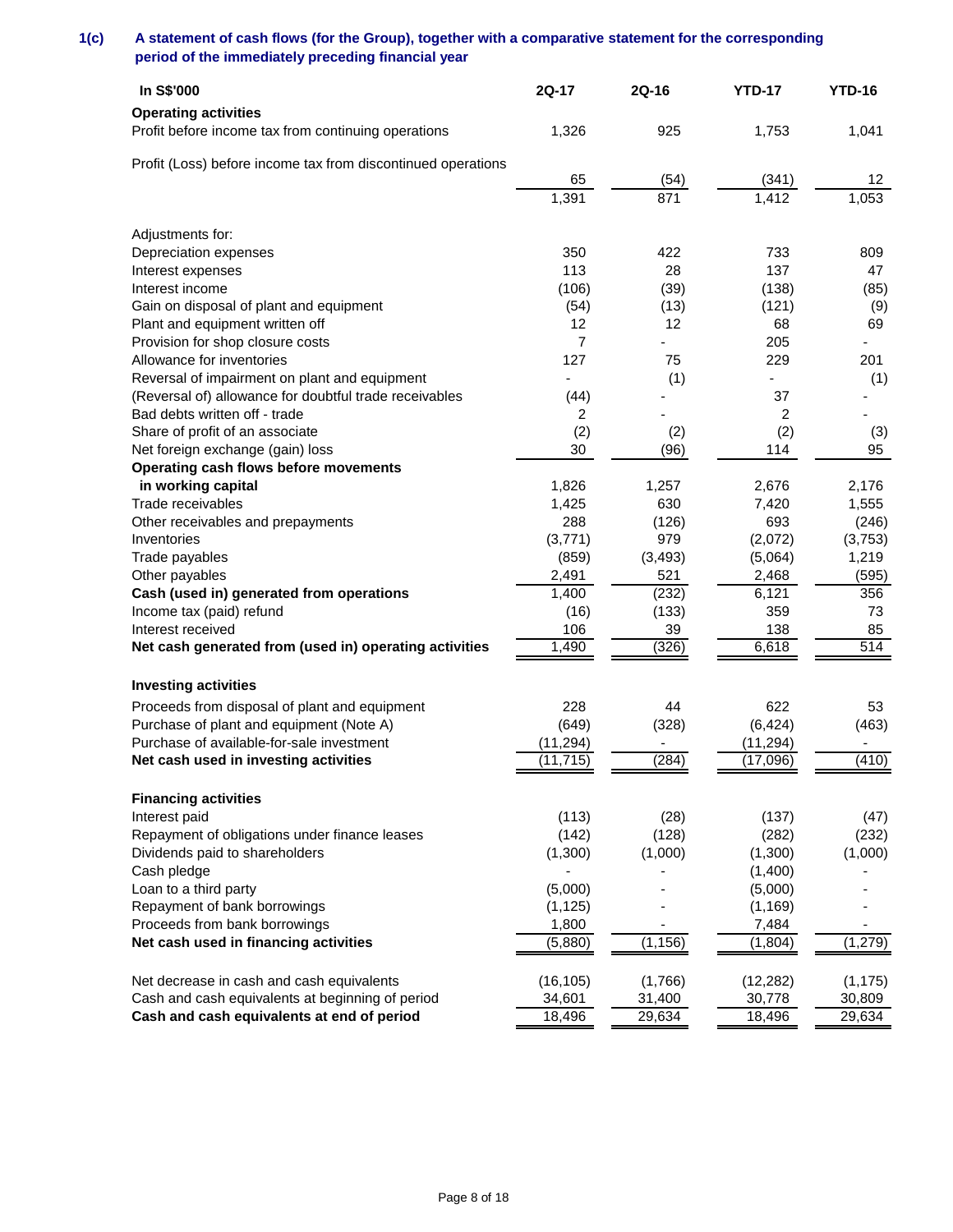# **1(c) A statement of cash flows (for the Group), together with a comparative statement for the corresponding period of the immediately preceding financial year**

| In S\$'000                                                   | 2Q-17          | 2Q-16    | <b>YTD-17</b> | <b>YTD-16</b>   |
|--------------------------------------------------------------|----------------|----------|---------------|-----------------|
| <b>Operating activities</b>                                  |                |          |               |                 |
| Profit before income tax from continuing operations          | 1,326          | 925      | 1,753         | 1,041           |
|                                                              |                |          |               |                 |
| Profit (Loss) before income tax from discontinued operations | 65             | (54)     | (341)         | 12 <sup>°</sup> |
|                                                              | 1,391          | 871      | 1,412         | 1,053           |
|                                                              |                |          |               |                 |
| Adjustments for:                                             |                |          |               |                 |
| Depreciation expenses                                        | 350            | 422      | 733           | 809             |
| Interest expenses                                            | 113            | 28       | 137           | 47              |
| Interest income                                              | (106)          | (39)     | (138)         | (85)            |
| Gain on disposal of plant and equipment                      | (54)           | (13)     | (121)         | (9)             |
| Plant and equipment written off                              | 12             | 12       | 68            | 69              |
| Provision for shop closure costs                             | $\overline{7}$ |          | 205           |                 |
| Allowance for inventories                                    | 127            | 75       | 229           | 201             |
| Reversal of impairment on plant and equipment                |                | (1)      |               | (1)             |
| (Reversal of) allowance for doubtful trade receivables       | (44)           |          | 37            |                 |
| Bad debts written off - trade                                | 2              |          | 2             |                 |
| Share of profit of an associate                              | (2)            | (2)      | (2)           | (3)             |
| Net foreign exchange (gain) loss                             | 30             | (96)     | 114           | 95              |
| Operating cash flows before movements                        |                |          |               |                 |
| in working capital                                           | 1,826          | 1,257    | 2,676         | 2,176           |
| Trade receivables                                            | 1,425          | 630      | 7,420         | 1,555           |
| Other receivables and prepayments                            | 288            | (126)    | 693           | (246)           |
| Inventories                                                  | (3,771)        | 979      | (2,072)       | (3,753)         |
| Trade payables                                               | (859)          | (3, 493) | (5,064)       | 1,219           |
| Other payables                                               | 2,491          | 521      | 2,468         | (595)           |
| Cash (used in) generated from operations                     | 1,400          | (232)    | 6,121         | 356             |
| Income tax (paid) refund                                     | (16)           | (133)    | 359           | 73              |
| Interest received                                            | 106            | 39       | 138           | 85              |
| Net cash generated from (used in) operating activities       | 1,490          | (326)    | 6,618         | 514             |
|                                                              |                |          |               |                 |
| <b>Investing activities</b>                                  |                |          |               |                 |
| Proceeds from disposal of plant and equipment                | 228            | 44       | 622           | 53              |
| Purchase of plant and equipment (Note A)                     | (649)          | (328)    | (6, 424)      | (463)           |
| Purchase of available-for-sale investment                    | (11, 294)      |          | (11, 294)     |                 |
| Net cash used in investing activities                        | (11, 715)      | (284)    | (17,096)      | (410)           |
| <b>Financing activities</b>                                  |                |          |               |                 |
| Interest paid                                                | (113)          | (28)     | (137)         | (47)            |
| Repayment of obligations under finance leases                | (142)          | (128)    | (282)         | (232)           |
| Dividends paid to shareholders                               | (1,300)        | (1,000)  | (1,300)       | (1,000)         |
| Cash pledge                                                  |                |          | (1,400)       |                 |
| Loan to a third party                                        | (5,000)        |          | (5,000)       |                 |
| Repayment of bank borrowings                                 | (1, 125)       |          | (1, 169)      |                 |
| Proceeds from bank borrowings                                | 1,800          |          | 7,484         |                 |
| Net cash used in financing activities                        | (5,880)        | (1, 156) | (1, 804)      | (1, 279)        |
|                                                              |                |          |               |                 |
| Net decrease in cash and cash equivalents                    | (16, 105)      | (1,766)  | (12, 282)     | (1, 175)        |
| Cash and cash equivalents at beginning of period             | 34,601         | 31,400   | 30,778        | 30,809          |
| Cash and cash equivalents at end of period                   | 18,496         | 29,634   | 18,496        | 29,634          |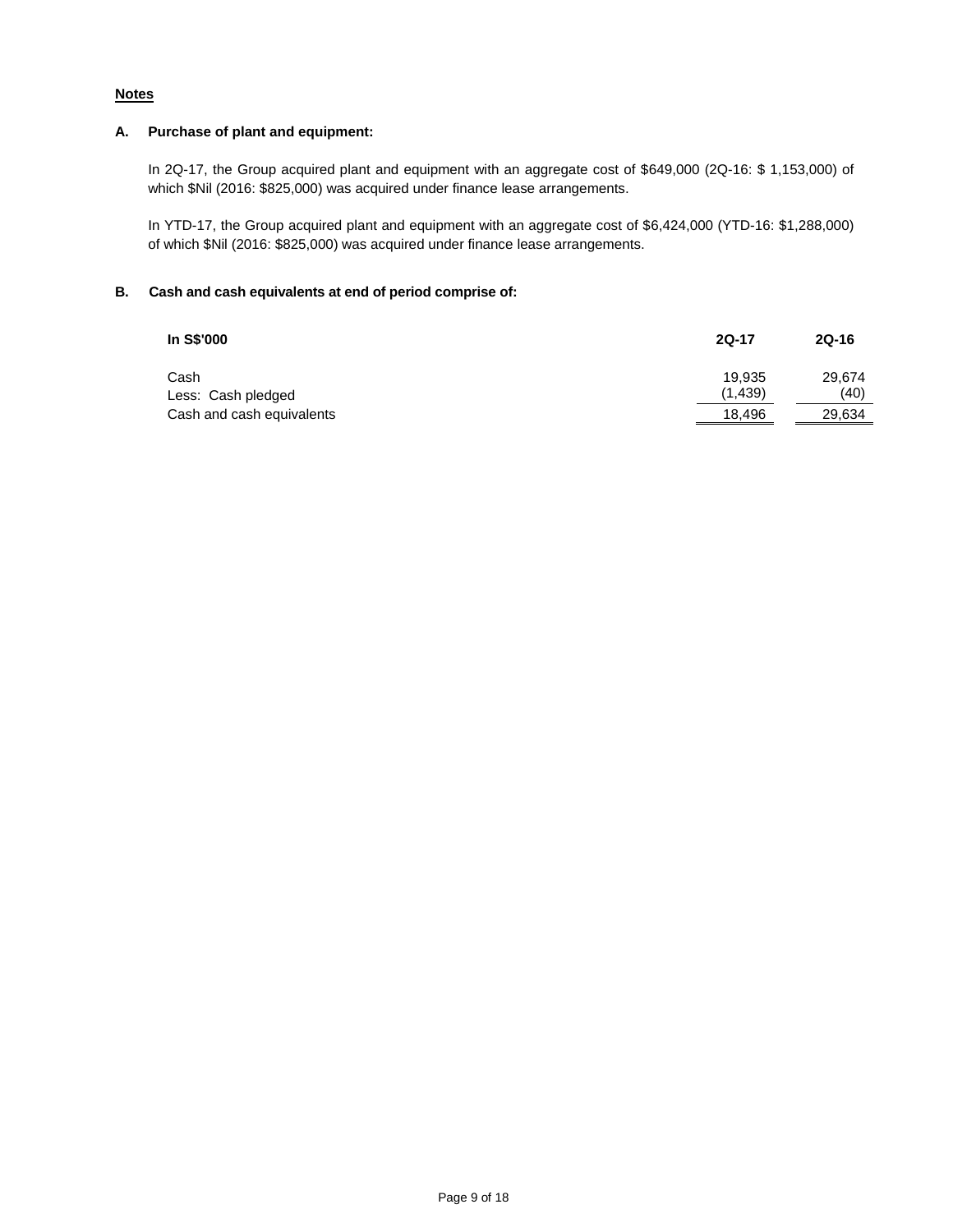# **Notes**

# **A. Purchase of plant and equipment:**

In 2Q-17, the Group acquired plant and equipment with an aggregate cost of \$649,000 (2Q-16: \$ 1,153,000) of which \$Nil (2016: \$825,000) was acquired under finance lease arrangements.

In YTD-17, the Group acquired plant and equipment with an aggregate cost of \$6,424,000 (YTD-16: \$1,288,000) of which \$Nil (2016: \$825,000) was acquired under finance lease arrangements.

# **B. Cash and cash equivalents at end of period comprise of:**

| In S\$'000                 | <b>2Q-17</b>      | 2Q-16          |
|----------------------------|-------------------|----------------|
| Cash<br>Less: Cash pledged | 19.935<br>(1,439) | 29.674<br>(40) |
| Cash and cash equivalents  | 18,496            | 29,634         |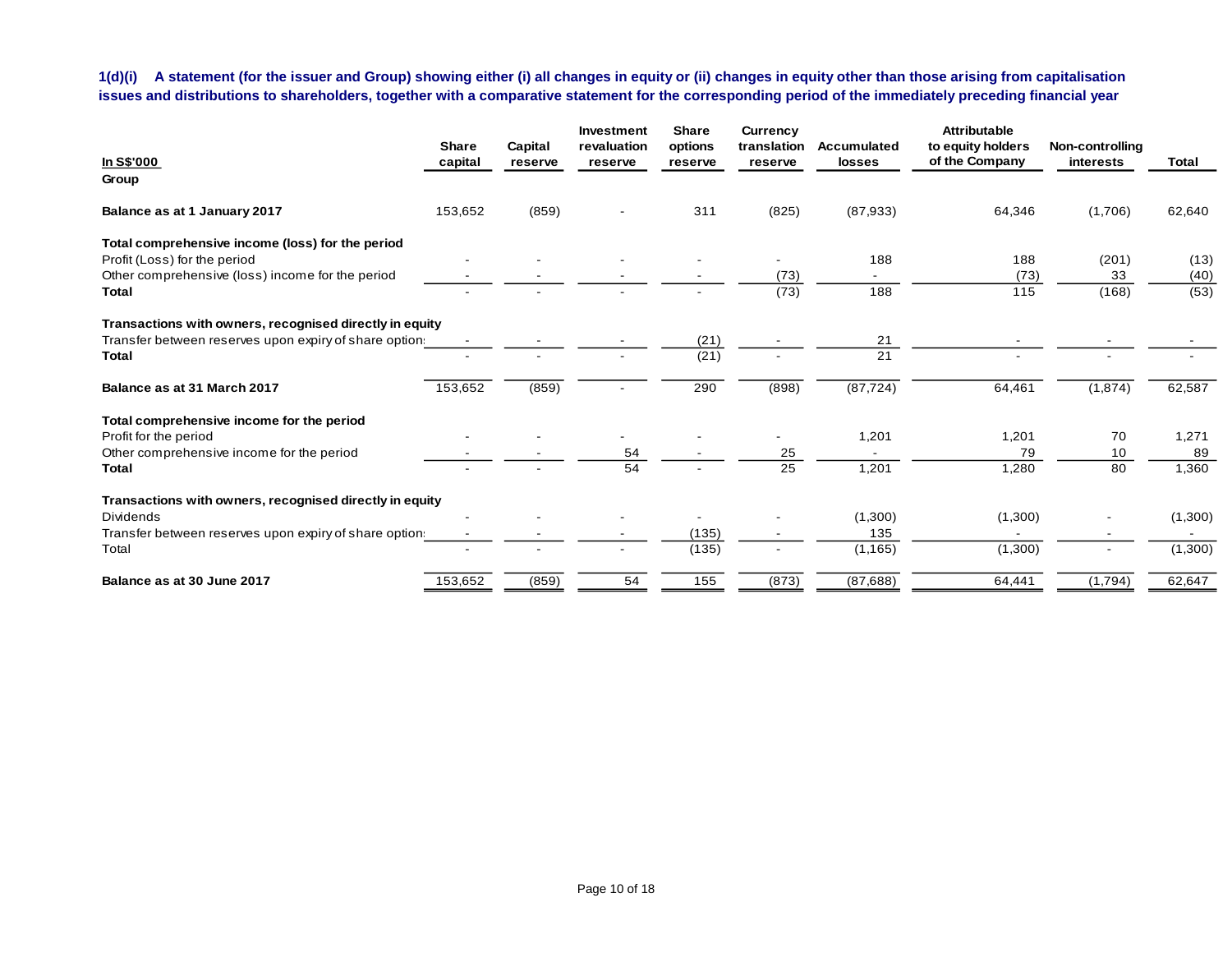**1(d)(i) A statement (for the issuer and Group) showing either (i) all changes in equity or (ii) changes in equity other than those arising from capitalisation issues and distributions to shareholders, together with a comparative statement for the corresponding period of the immediately preceding financial year**

|                                                         | <b>Share</b> | Capital | Investment<br>revaluation | <b>Share</b><br>options | Currency<br>translation | <b>Accumulated</b> | <b>Attributable</b><br>to equity holders | Non-controlling |              |
|---------------------------------------------------------|--------------|---------|---------------------------|-------------------------|-------------------------|--------------------|------------------------------------------|-----------------|--------------|
| <b>In S\$'000</b>                                       | capital      | reserve | reserve                   | reserve                 | reserve                 | <b>losses</b>      | of the Company                           | interests       | <b>Total</b> |
| Group                                                   |              |         |                           |                         |                         |                    |                                          |                 |              |
| Balance as at 1 January 2017                            | 153,652      | (859)   |                           | 311                     | (825)                   | (87,933)           | 64,346                                   | (1,706)         | 62,640       |
| Total comprehensive income (loss) for the period        |              |         |                           |                         |                         |                    |                                          |                 |              |
| Profit (Loss) for the period                            |              |         |                           |                         |                         | 188                | 188                                      | (201)           | (13)         |
| Other comprehensive (loss) income for the period        |              |         |                           |                         | (73)                    |                    | (73)                                     | 33              | (40)         |
| <b>Total</b>                                            |              |         |                           |                         | (73)                    | 188                | 115                                      | (168)           | (53)         |
| Transactions with owners, recognised directly in equity |              |         |                           |                         |                         |                    |                                          |                 |              |
| Transfer between reserves upon expiry of share option   |              |         |                           | (21)                    |                         | 21                 |                                          |                 |              |
| Total                                                   |              |         |                           | (21)                    |                         | 21                 |                                          |                 |              |
| Balance as at 31 March 2017                             | 153,652      | (859)   |                           | 290                     | (898)                   | (87, 724)          | 64,461                                   | (1,874)         | 62,587       |
| Total comprehensive income for the period               |              |         |                           |                         |                         |                    |                                          |                 |              |
| Profit for the period                                   |              |         |                           |                         |                         | 1,201              | 1,201                                    | 70              | 1,271        |
| Other comprehensive income for the period               |              |         | 54                        |                         | 25                      |                    | 79                                       | 10              | 89           |
| <b>Total</b>                                            |              |         | 54                        |                         | 25                      | 1,201              | 1,280                                    | 80              | 1,360        |
| Transactions with owners, recognised directly in equity |              |         |                           |                         |                         |                    |                                          |                 |              |
| <b>Dividends</b>                                        |              |         |                           |                         |                         | (1,300)            | (1,300)                                  |                 | (1,300)      |
| Transfer between reserves upon expiry of share option   |              |         |                           | (135)                   |                         | 135                |                                          |                 |              |
| Total                                                   |              |         |                           | (135)                   | $\blacksquare$          | (1, 165)           | (1,300)                                  |                 | (1,300)      |
| Balance as at 30 June 2017                              | 153,652      | (859)   | 54                        | 155                     | (873)                   | (87, 688)          | 64,441                                   | (1,794)         | 62,647       |
|                                                         |              |         |                           |                         |                         |                    |                                          |                 |              |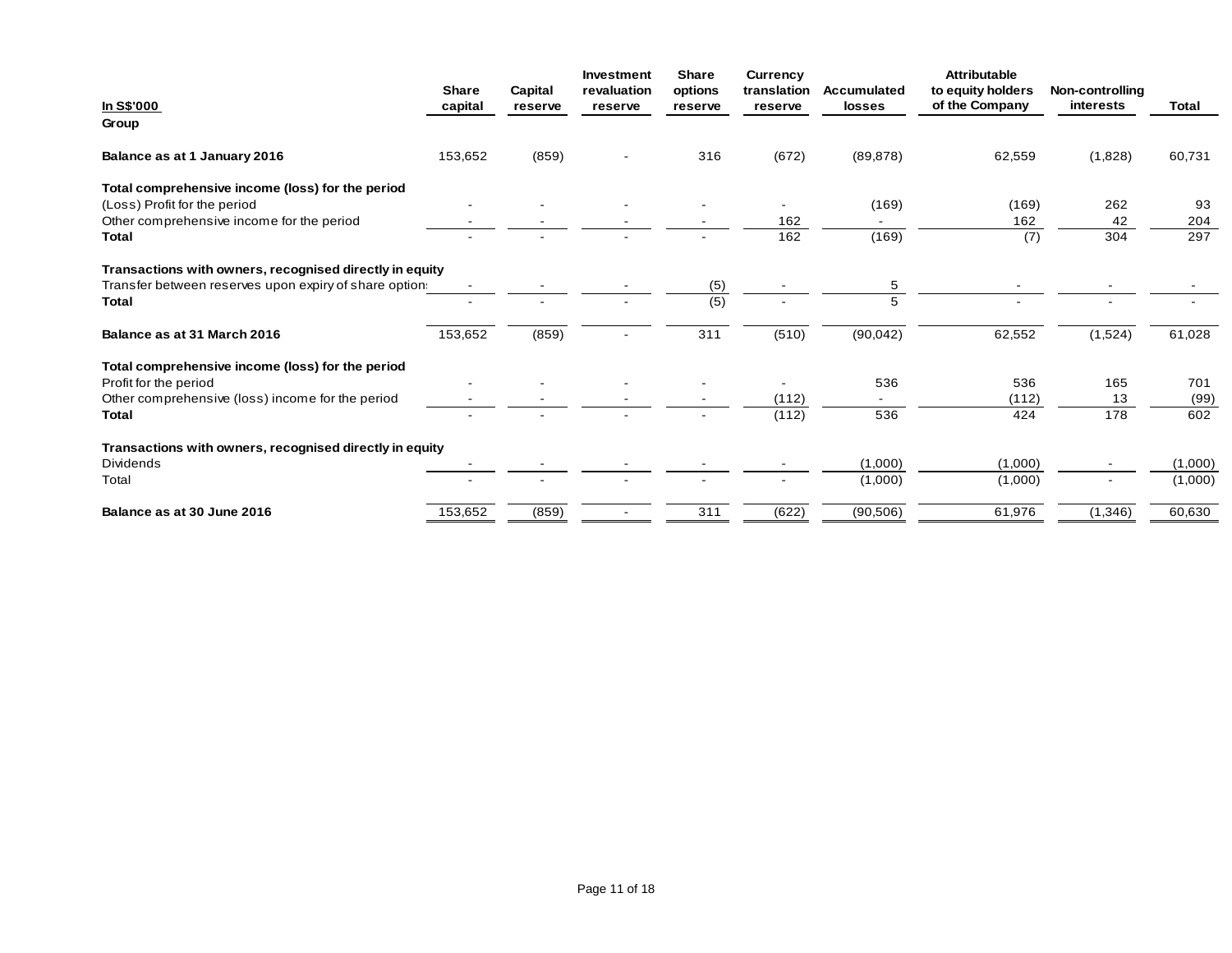|                                                         | <b>Share</b> | Capital | Investment<br>revaluation | <b>Share</b><br>options | <b>Currency</b><br>translation | Accumulated | <b>Attributable</b><br>to equity holders | Non-controlling |              |
|---------------------------------------------------------|--------------|---------|---------------------------|-------------------------|--------------------------------|-------------|------------------------------------------|-----------------|--------------|
| In S\$'000                                              | capital      | reserve | reserve                   | reserve                 | reserve                        | losses      | of the Company                           | interests       | <b>Total</b> |
| Group                                                   |              |         |                           |                         |                                |             |                                          |                 |              |
| Balance as at 1 January 2016                            | 153,652      | (859)   |                           | 316                     | (672)                          | (89, 878)   | 62,559                                   | (1,828)         | 60,731       |
| Total comprehensive income (loss) for the period        |              |         |                           |                         |                                |             |                                          |                 |              |
| (Loss) Profit for the period                            |              |         |                           |                         |                                | (169)       | (169)                                    | 262             | 93           |
| Other comprehensive income for the period               |              |         |                           |                         | 162                            |             | 162                                      | 42              | 204          |
| Total                                                   |              |         |                           |                         | 162                            | (169)       | (7)                                      | 304             | 297          |
| Transactions with owners, recognised directly in equity |              |         |                           |                         |                                |             |                                          |                 |              |
| Transfer between reserves upon expiry of share option.  |              |         |                           | (5)                     |                                | 5           |                                          |                 |              |
| <b>Total</b>                                            |              |         |                           | (5)                     |                                |             |                                          |                 |              |
| Balance as at 31 March 2016                             | 153,652      | (859)   |                           | 311                     | (510)                          | (90, 042)   | 62,552                                   | (1,524)         | 61,028       |
| Total comprehensive income (loss) for the period        |              |         |                           |                         |                                |             |                                          |                 |              |
| Profit for the period                                   |              |         |                           |                         |                                | 536         | 536                                      | 165             | 701          |
| Other comprehensive (loss) income for the period        |              |         |                           |                         | (112)                          |             | (112)                                    | 13              | (99)         |
| Total                                                   |              |         |                           |                         | (112)                          | 536         | 424                                      | 178             | 602          |
| Transactions with owners, recognised directly in equity |              |         |                           |                         |                                |             |                                          |                 |              |
| <b>Dividends</b>                                        |              |         |                           |                         |                                | (1,000)     | (1,000)                                  |                 | (1,000)      |
| Total                                                   |              |         |                           |                         |                                | (1,000)     | (1,000)                                  |                 | (1,000)      |
| Balance as at 30 June 2016                              | 153,652      | (859)   |                           | 311                     | (622)                          | (90, 506)   | 61,976                                   | (1,346)         | 60,630       |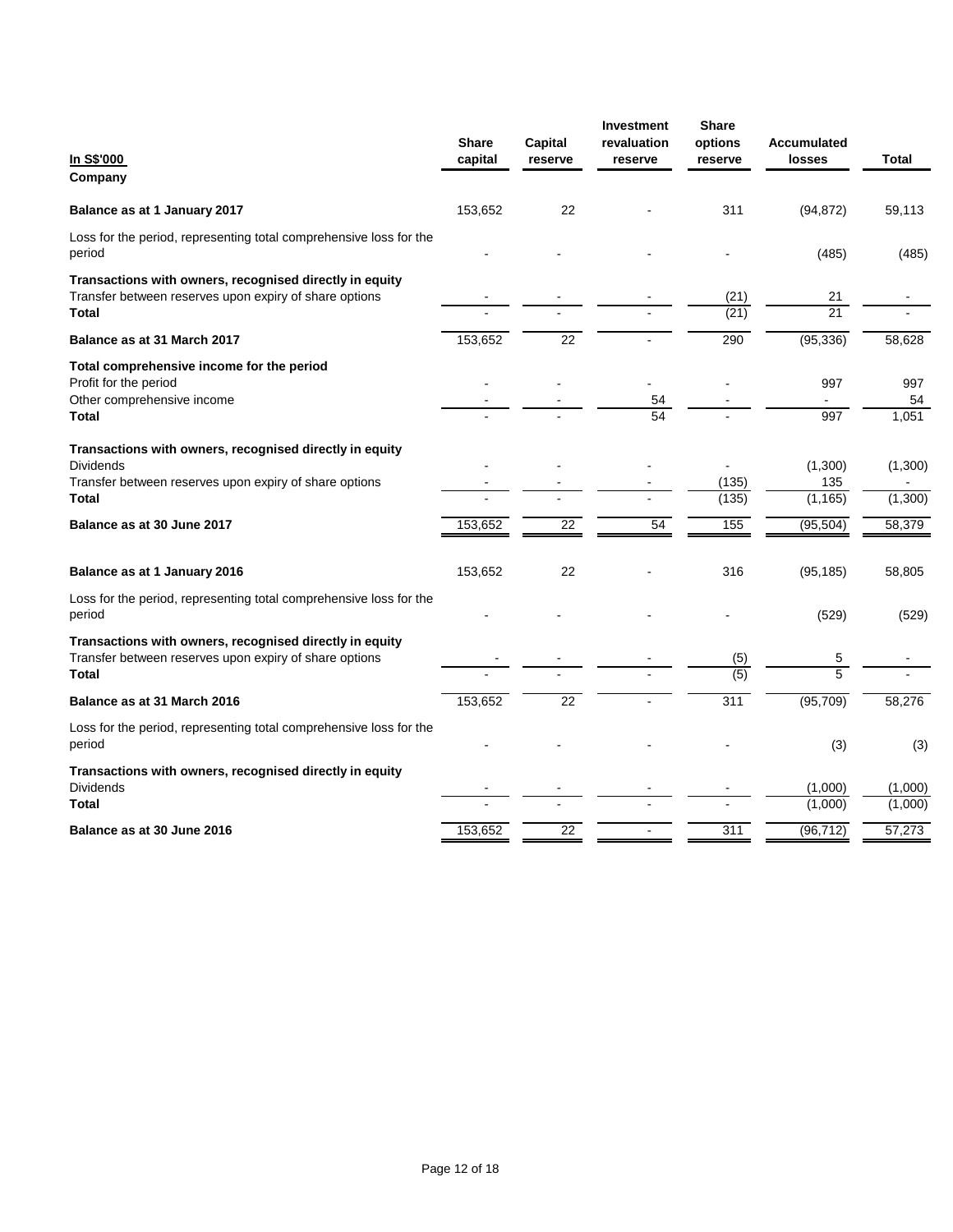| In S\$'000<br>Company                                                                                                                                 | <b>Share</b><br>capital | Capital<br>reserve | Investment<br>revaluation<br>reserve | Share<br>options<br>reserve | <b>Accumulated</b><br>losses | Total              |
|-------------------------------------------------------------------------------------------------------------------------------------------------------|-------------------------|--------------------|--------------------------------------|-----------------------------|------------------------------|--------------------|
| Balance as at 1 January 2017                                                                                                                          | 153,652                 | 22                 |                                      | 311                         | (94, 872)                    | 59,113             |
| Loss for the period, representing total comprehensive loss for the<br>period                                                                          |                         |                    |                                      |                             | (485)                        | (485)              |
| Transactions with owners, recognised directly in equity<br>Transfer between reserves upon expiry of share options<br>Total                            |                         |                    |                                      | (21)<br>(21)                | 21<br>$\overline{21}$        |                    |
| Balance as at 31 March 2017                                                                                                                           | 153,652                 | 22                 |                                      | 290                         | (95, 336)                    | 58,628             |
| Total comprehensive income for the period<br>Profit for the period<br>Other comprehensive income<br><b>Total</b>                                      |                         |                    | 54<br>54                             |                             | 997<br>997                   | 997<br>54<br>1,051 |
| Transactions with owners, recognised directly in equity<br><b>Dividends</b><br>Transfer between reserves upon expiry of share options<br><b>Total</b> |                         |                    |                                      | (135)<br>(135)              | (1,300)<br>135<br>(1, 165)   | (1,300)<br>(1,300) |
| Balance as at 30 June 2017                                                                                                                            | 153,652                 | 22                 | 54                                   | 155                         | (95, 504)                    | 58,379             |
| Balance as at 1 January 2016                                                                                                                          | 153,652                 | 22                 |                                      | 316                         | (95, 185)                    | 58,805             |
| Loss for the period, representing total comprehensive loss for the<br>period                                                                          |                         |                    |                                      |                             | (529)                        | (529)              |
| Transactions with owners, recognised directly in equity<br>Transfer between reserves upon expiry of share options<br><b>Total</b>                     |                         |                    |                                      | (5)<br>(5)                  | 5<br>5                       |                    |
| Balance as at 31 March 2016                                                                                                                           | 153,652                 | 22                 |                                      | 311                         | (95, 709)                    | 58,276             |
| Loss for the period, representing total comprehensive loss for the<br>period                                                                          |                         |                    |                                      |                             | (3)                          | (3)                |
| Transactions with owners, recognised directly in equity<br><b>Dividends</b><br><b>Total</b>                                                           |                         |                    |                                      |                             | (1,000)<br>(1,000)           | (1,000)<br>(1,000) |
| Balance as at 30 June 2016                                                                                                                            | 153.652                 | 22                 |                                      | 311                         | (96, 712)                    | 57,273             |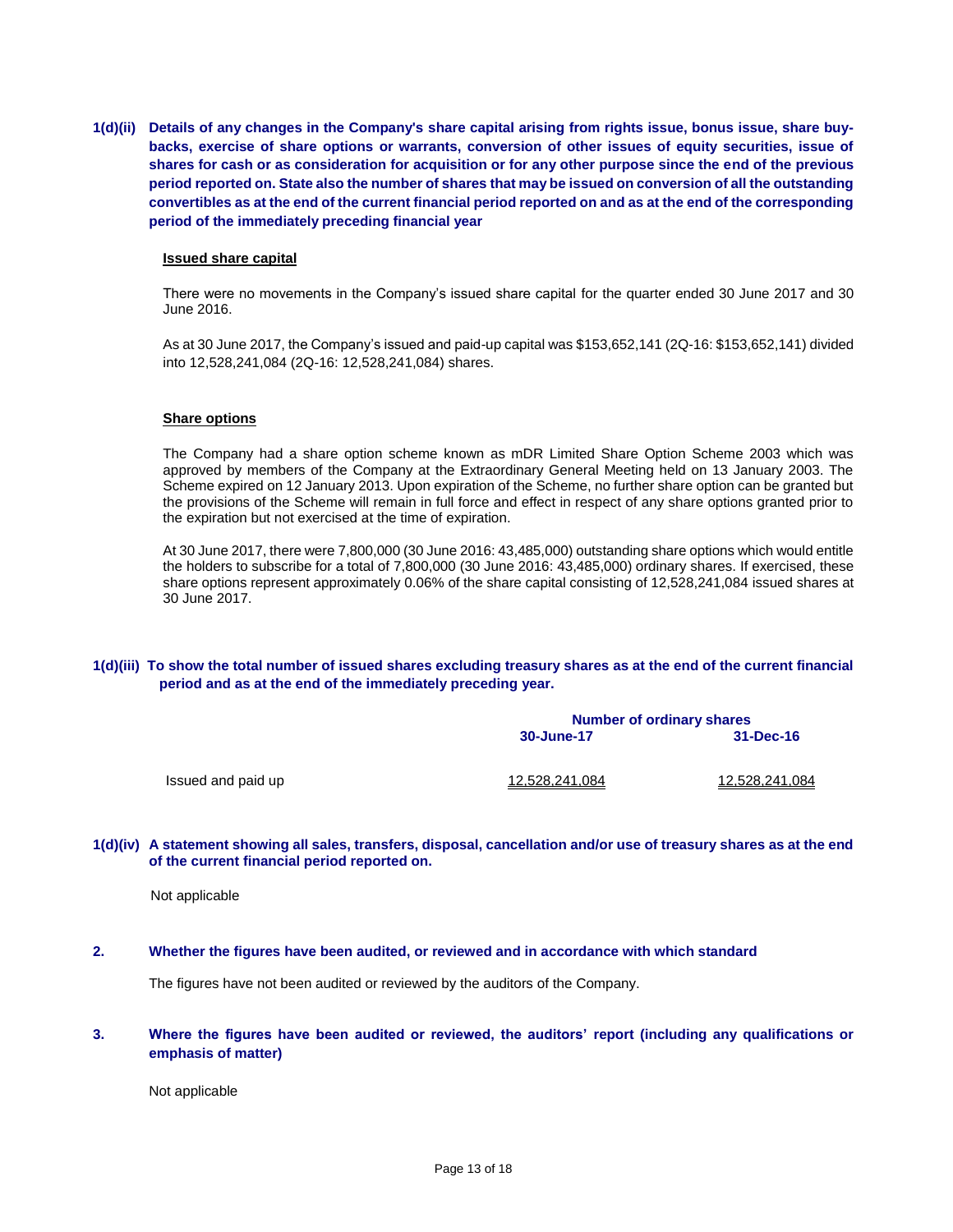**1(d)(ii) Details of any changes in the Company's share capital arising from rights issue, bonus issue, share buybacks, exercise of share options or warrants, conversion of other issues of equity securities, issue of shares for cash or as consideration for acquisition or for any other purpose since the end of the previous period reported on. State also the number of shares that may be issued on conversion of all the outstanding convertibles as at the end of the current financial period reported on and as at the end of the corresponding period of the immediately preceding financial year**

#### **Issued share capital**

There were no movements in the Company's issued share capital for the quarter ended 30 June 2017 and 30 June 2016.

As at 30 June 2017, the Company's issued and paid-up capital was \$153,652,141 (2Q-16: \$153,652,141) divided into 12,528,241,084 (2Q-16: 12,528,241,084) shares.

#### **Share options**

The Company had a share option scheme known as mDR Limited Share Option Scheme 2003 which was approved by members of the Company at the Extraordinary General Meeting held on 13 January 2003. The Scheme expired on 12 January 2013. Upon expiration of the Scheme, no further share option can be granted but the provisions of the Scheme will remain in full force and effect in respect of any share options granted prior to the expiration but not exercised at the time of expiration.

At 30 June 2017, there were 7,800,000 (30 June 2016: 43,485,000) outstanding share options which would entitle the holders to subscribe for a total of 7,800,000 (30 June 2016: 43,485,000) ordinary shares. If exercised, these share options represent approximately 0.06% of the share capital consisting of 12,528,241,084 issued shares at 30 June 2017.

### **1(d)(iii) To show the total number of issued shares excluding treasury shares as at the end of the current financial period and as at the end of the immediately preceding year.**

|                    | <b>Number of ordinary shares</b> |                 |  |
|--------------------|----------------------------------|-----------------|--|
|                    | 30-June-17                       | $31 - Dec - 16$ |  |
| Issued and paid up | 12,528,241,084                   | 12,528,241,084  |  |
|                    |                                  |                 |  |

#### **1(d)(iv) A statement showing all sales, transfers, disposal, cancellation and/or use of treasury shares as at the end of the current financial period reported on.**

Not applicable

### **2. Whether the figures have been audited, or reviewed and in accordance with which standard**

The figures have not been audited or reviewed by the auditors of the Company.

### **3. Where the figures have been audited or reviewed, the auditors' report (including any qualifications or emphasis of matter)**

Not applicable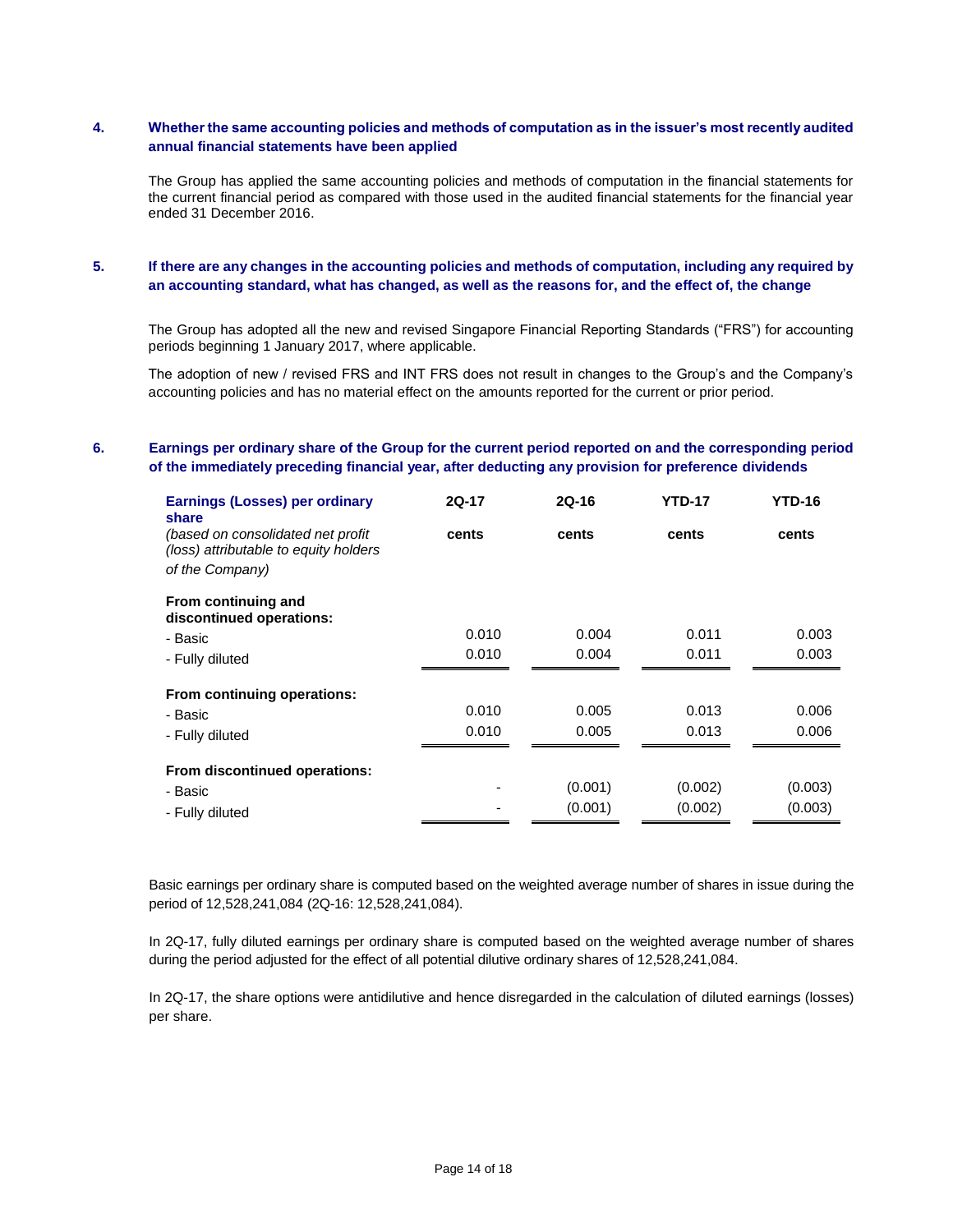# **4. Whether the same accounting policies and methods of computation as in the issuer's most recently audited annual financial statements have been applied**

The Group has applied the same accounting policies and methods of computation in the financial statements for the current financial period as compared with those used in the audited financial statements for the financial year ended 31 December 2016.

# **5. If there are any changes in the accounting policies and methods of computation, including any required by an accounting standard, what has changed, as well as the reasons for, and the effect of, the change**

The Group has adopted all the new and revised Singapore Financial Reporting Standards ("FRS") for accounting periods beginning 1 January 2017, where applicable.

The adoption of new / revised FRS and INT FRS does not result in changes to the Group's and the Company's accounting policies and has no material effect on the amounts reported for the current or prior period.

### **6. Earnings per ordinary share of the Group for the current period reported on and the corresponding period of the immediately preceding financial year, after deducting any provision for preference dividends**

| <b>Earnings (Losses) per ordinary</b><br>share                              | $2Q-17$ | $2Q-16$ | <b>YTD-17</b> | <b>YTD-16</b> |
|-----------------------------------------------------------------------------|---------|---------|---------------|---------------|
| (based on consolidated net profit)<br>(loss) attributable to equity holders | cents   | cents   | cents         | cents         |
| of the Company)                                                             |         |         |               |               |
| From continuing and<br>discontinued operations:                             |         |         |               |               |
| - Basic                                                                     | 0.010   | 0.004   | 0.011         | 0.003         |
| - Fully diluted                                                             | 0.010   | 0.004   | 0.011         | 0.003         |
| From continuing operations:                                                 |         |         |               |               |
| - Basic                                                                     | 0.010   | 0.005   | 0.013         | 0.006         |
| - Fully diluted                                                             | 0.010   | 0.005   | 0.013         | 0.006         |
| From discontinued operations:                                               |         |         |               |               |
| - Basic                                                                     |         | (0.001) | (0.002)       | (0.003)       |
| - Fully diluted                                                             |         | (0.001) | (0.002)       | (0.003)       |

Basic earnings per ordinary share is computed based on the weighted average number of shares in issue during the period of 12,528,241,084 (2Q-16: 12,528,241,084).

In 2Q-17, fully diluted earnings per ordinary share is computed based on the weighted average number of shares during the period adjusted for the effect of all potential dilutive ordinary shares of 12,528,241,084.

In 2Q-17, the share options were antidilutive and hence disregarded in the calculation of diluted earnings (losses) per share.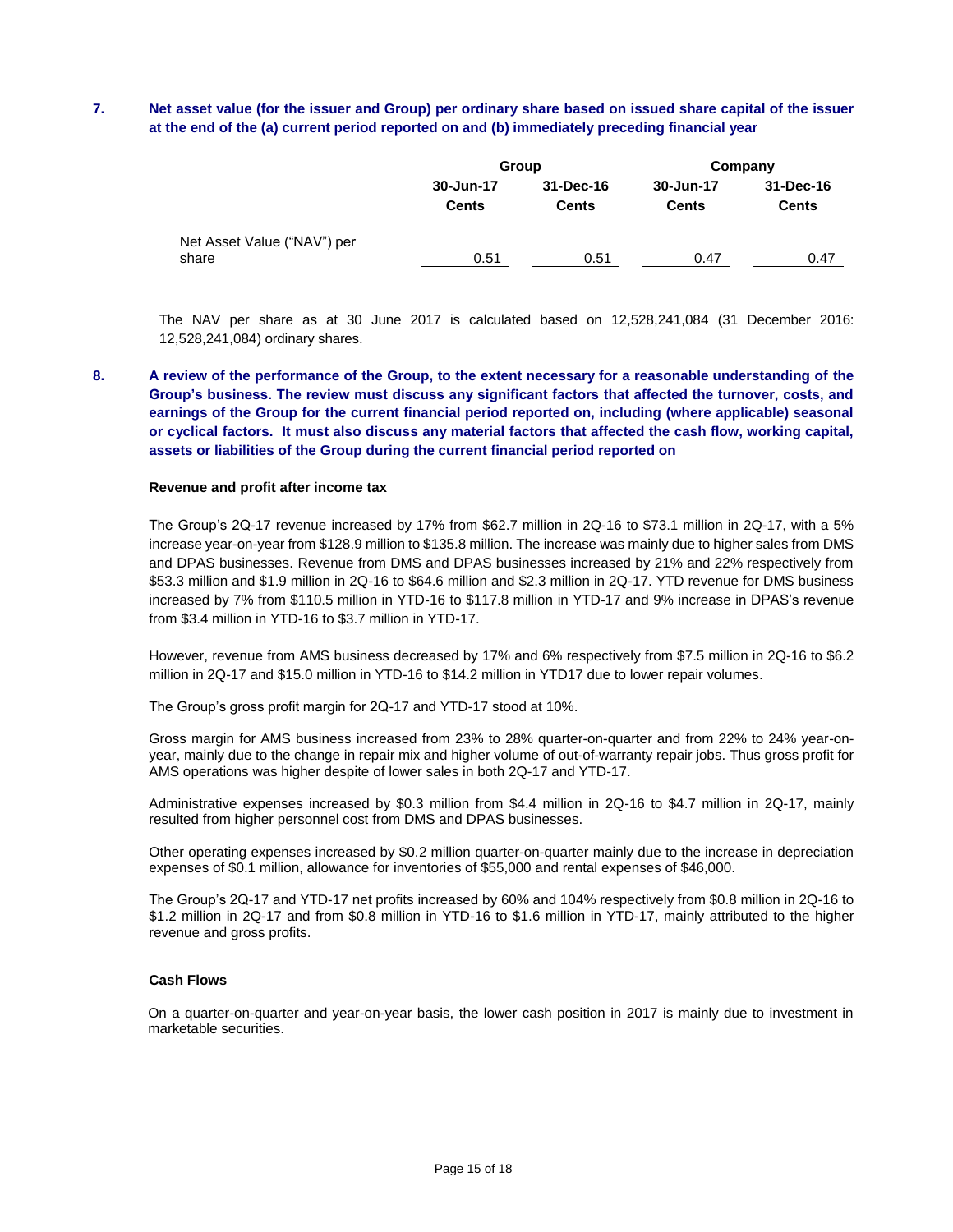# **7. Net asset value (for the issuer and Group) per ordinary share based on issued share capital of the issuer at the end of the (a) current period reported on and (b) immediately preceding financial year**

|                                      |                           | Group                     | Company                   |                           |
|--------------------------------------|---------------------------|---------------------------|---------------------------|---------------------------|
|                                      | 30-Jun-17<br><b>Cents</b> | 31-Dec-16<br><b>Cents</b> | 30-Jun-17<br><b>Cents</b> | 31-Dec-16<br><b>Cents</b> |
| Net Asset Value ("NAV") per<br>share | 0.51                      | 0.51                      | 0.47                      | 0.47                      |

The NAV per share as at 30 June 2017 is calculated based on 12,528,241,084 (31 December 2016: 12,528,241,084) ordinary shares.

**8. A review of the performance of the Group, to the extent necessary for a reasonable understanding of the Group's business. The review must discuss any significant factors that affected the turnover, costs, and earnings of the Group for the current financial period reported on, including (where applicable) seasonal or cyclical factors. It must also discuss any material factors that affected the cash flow, working capital, assets or liabilities of the Group during the current financial period reported on**

#### **Revenue and profit after income tax**

The Group's 2Q-17 revenue increased by 17% from \$62.7 million in 2Q-16 to \$73.1 million in 2Q-17, with a 5% increase year-on-year from \$128.9 million to \$135.8 million. The increase was mainly due to higher sales from DMS and DPAS businesses. Revenue from DMS and DPAS businesses increased by 21% and 22% respectively from \$53.3 million and \$1.9 million in 2Q-16 to \$64.6 million and \$2.3 million in 2Q-17. YTD revenue for DMS business increased by 7% from \$110.5 million in YTD-16 to \$117.8 million in YTD-17 and 9% increase in DPAS's revenue from \$3.4 million in YTD-16 to \$3.7 million in YTD-17.

However, revenue from AMS business decreased by 17% and 6% respectively from \$7.5 million in 2Q-16 to \$6.2 million in 2Q-17 and \$15.0 million in YTD-16 to \$14.2 million in YTD17 due to lower repair volumes.

The Group's gross profit margin for 2Q-17 and YTD-17 stood at 10%.

Gross margin for AMS business increased from 23% to 28% quarter-on-quarter and from 22% to 24% year-onyear, mainly due to the change in repair mix and higher volume of out-of-warranty repair jobs. Thus gross profit for AMS operations was higher despite of lower sales in both 2Q-17 and YTD-17.

Administrative expenses increased by \$0.3 million from \$4.4 million in 2Q-16 to \$4.7 million in 2Q-17, mainly resulted from higher personnel cost from DMS and DPAS businesses.

Other operating expenses increased by \$0.2 million quarter-on-quarter mainly due to the increase in depreciation expenses of \$0.1 million, allowance for inventories of \$55,000 and rental expenses of \$46,000.

The Group's 2Q-17 and YTD-17 net profits increased by 60% and 104% respectively from \$0.8 million in 2Q-16 to \$1.2 million in 2Q-17 and from \$0.8 million in YTD-16 to \$1.6 million in YTD-17, mainly attributed to the higher revenue and gross profits.

#### **Cash Flows**

On a quarter-on-quarter and year-on-year basis, the lower cash position in 2017 is mainly due to investment in marketable securities.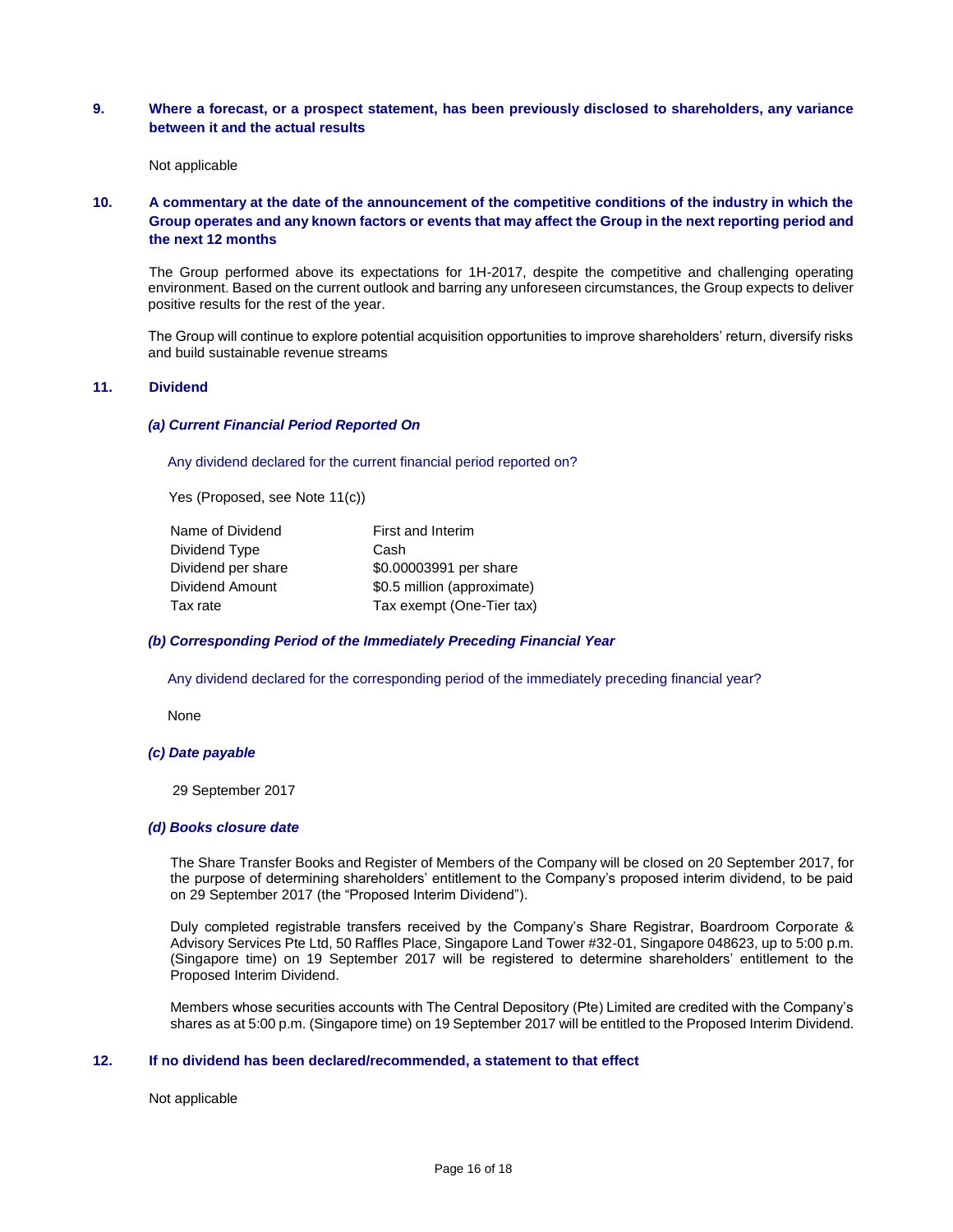### **9. Where a forecast, or a prospect statement, has been previously disclosed to shareholders, any variance between it and the actual results**

Not applicable

# **10. A commentary at the date of the announcement of the competitive conditions of the industry in which the Group operates and any known factors or events that may affect the Group in the next reporting period and the next 12 months**

The Group performed above its expectations for 1H-2017, despite the competitive and challenging operating environment. Based on the current outlook and barring any unforeseen circumstances, the Group expects to deliver positive results for the rest of the year.

The Group will continue to explore potential acquisition opportunities to improve shareholders' return, diversify risks and build sustainable revenue streams

### **11. Dividend**

#### *(a) Current Financial Period Reported On*

Any dividend declared for the current financial period reported on?

Yes (Proposed, see Note 11(c))

| Name of Dividend   | First and Interim           |
|--------------------|-----------------------------|
| Dividend Type      | Cash                        |
| Dividend per share | \$0.00003991 per share      |
| Dividend Amount    | \$0.5 million (approximate) |
| Tax rate           | Tax exempt (One-Tier tax)   |

#### *(b) Corresponding Period of the Immediately Preceding Financial Year*

Any dividend declared for the corresponding period of the immediately preceding financial year?

None

#### *(c) Date payable*

29 September 2017

#### *(d) Books closure date*

The Share Transfer Books and Register of Members of the Company will be closed on 20 September 2017, for the purpose of determining shareholders' entitlement to the Company's proposed interim dividend, to be paid on 29 September 2017 (the "Proposed Interim Dividend").

Duly completed registrable transfers received by the Company's Share Registrar, Boardroom Corporate & Advisory Services Pte Ltd, 50 Raffles Place, Singapore Land Tower #32-01, Singapore 048623, up to 5:00 p.m. (Singapore time) on 19 September 2017 will be registered to determine shareholders' entitlement to the Proposed Interim Dividend.

Members whose securities accounts with The Central Depository (Pte) Limited are credited with the Company's shares as at 5:00 p.m. (Singapore time) on 19 September 2017 will be entitled to the Proposed Interim Dividend.

### **12. If no dividend has been declared/recommended, a statement to that effect**

Not applicable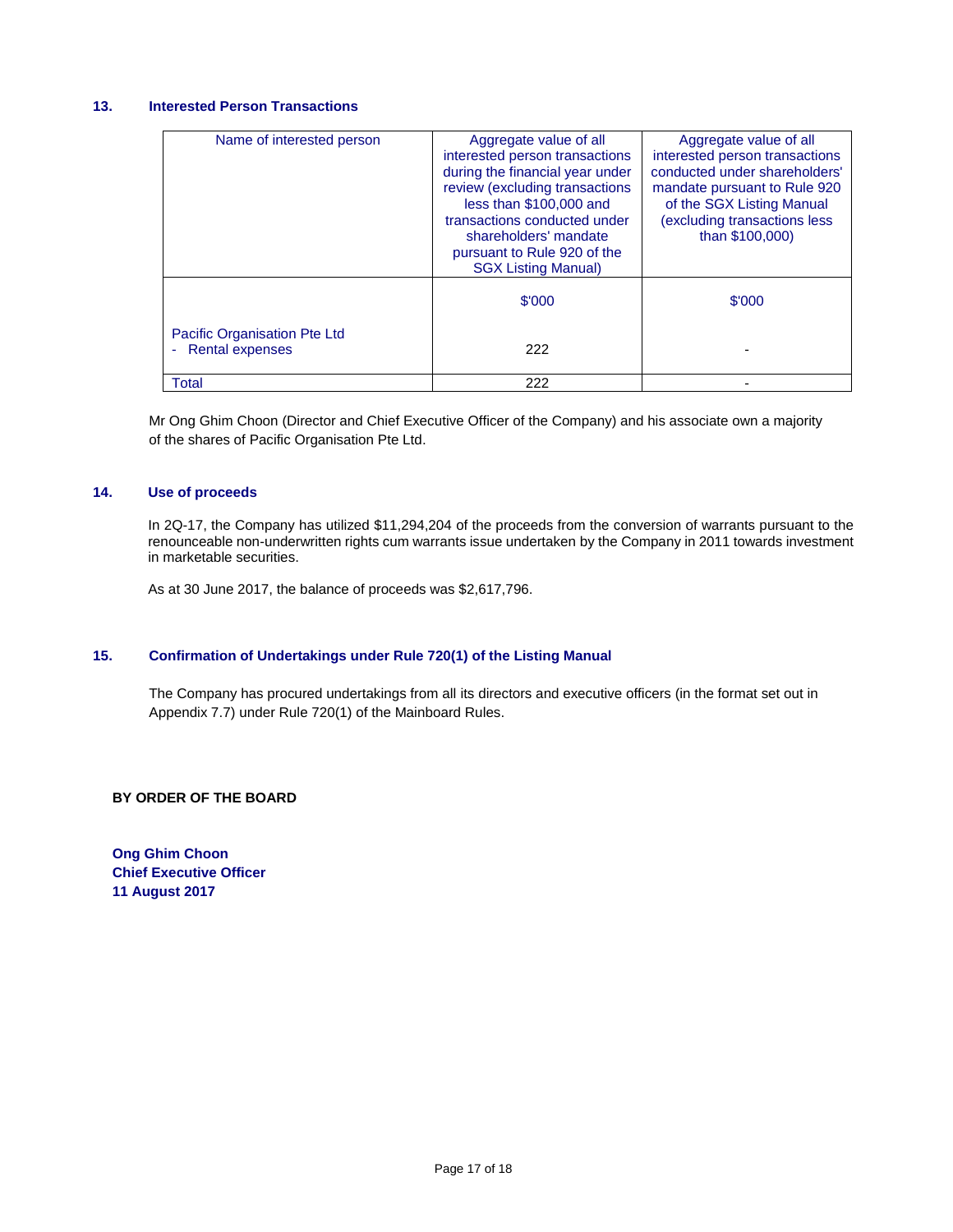# **13. Interested Person Transactions**

| Name of interested person                                                                 | Aggregate value of all<br>interested person transactions<br>during the financial year under<br>review (excluding transactions<br>less than \$100,000 and<br>transactions conducted under<br>shareholders' mandate<br>pursuant to Rule 920 of the<br><b>SGX Listing Manual)</b> | Aggregate value of all<br>interested person transactions<br>conducted under shareholders'<br>mandate pursuant to Rule 920<br>of the SGX Listing Manual<br>(excluding transactions less<br>than \$100,000) |
|-------------------------------------------------------------------------------------------|--------------------------------------------------------------------------------------------------------------------------------------------------------------------------------------------------------------------------------------------------------------------------------|-----------------------------------------------------------------------------------------------------------------------------------------------------------------------------------------------------------|
|                                                                                           | \$'000                                                                                                                                                                                                                                                                         | \$'000                                                                                                                                                                                                    |
| <b>Pacific Organisation Pte Ltd</b><br><b>Rental expenses</b><br>$\overline{\phantom{a}}$ | 222                                                                                                                                                                                                                                                                            |                                                                                                                                                                                                           |
| <b>Total</b>                                                                              | 222                                                                                                                                                                                                                                                                            |                                                                                                                                                                                                           |

Mr Ong Ghim Choon (Director and Chief Executive Officer of the Company) and his associate own a majority of the shares of Pacific Organisation Pte Ltd.

# **14. Use of proceeds**

In 2Q-17, the Company has utilized \$11,294,204 of the proceeds from the conversion of warrants pursuant to the renounceable non-underwritten rights cum warrants issue undertaken by the Company in 2011 towards investment in marketable securities.

As at 30 June 2017, the balance of proceeds was \$2,617,796.

### **15. Confirmation of Undertakings under Rule 720(1) of the Listing Manual**

The Company has procured undertakings from all its directors and executive officers (in the format set out in Appendix 7.7) under Rule 720(1) of the Mainboard Rules.

**BY ORDER OF THE BOARD**

**Ong Ghim Choon Chief Executive Officer 11 August 2017**